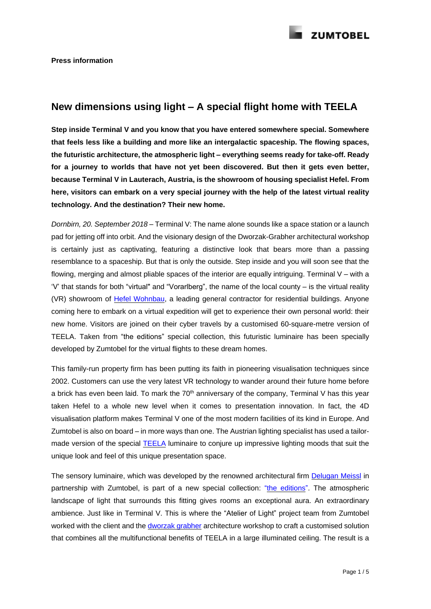## **New dimensions using light – A special flight home with TEELA**

**Step inside Terminal V and you know that you have entered somewhere special. Somewhere that feels less like a building and more like an intergalactic spaceship. The flowing spaces, the futuristic architecture, the atmospheric light – everything seems ready for take-off. Ready for a journey to worlds that have not yet been discovered. But then it gets even better, because Terminal V in Lauterach, Austria, is the showroom of housing specialist Hefel. From here, visitors can embark on a very special journey with the help of the latest virtual reality technology. And the destination? Their new home.**

*Dornbirn, 20. September 2018* – Terminal V: The name alone sounds like a space station or a launch pad for jetting off into orbit. And the visionary design of the Dworzak-Grabher architectural workshop is certainly just as captivating, featuring a distinctive look that bears more than a passing resemblance to a spaceship. But that is only the outside. Step inside and you will soon see that the flowing, merging and almost pliable spaces of the interior are equally intriguing. Terminal V – with a 'V' that stands for both "virtual" and "Vorarlberg", the name of the local county – is the virtual reality (VR) showroom of Hefel [Wohnbau,](https://www.hefel.at/) a leading general contractor for residential buildings. Anyone coming here to embark on a virtual expedition will get to experience their own personal world: their new home. Visitors are joined on their cyber travels by a customised 60-square-metre version of TEELA. Taken from "the editions" special collection, this futuristic luminaire has been specially developed by Zumtobel for the virtual flights to these dream homes.

This family-run property firm has been putting its faith in pioneering visualisation techniques since 2002. Customers can use the very latest VR technology to wander around their future home before a brick has even been laid. To mark the  $70<sup>th</sup>$  anniversary of the company, Terminal V has this year taken Hefel to a whole new level when it comes to presentation innovation. In fact, the 4D visualisation platform makes Terminal V one of the most modern facilities of its kind in Europe. And Zumtobel is also on board – in more ways than one. The Austrian lighting specialist has used a tailormade version of the special **[TEELA](https://editions.zumtobel.com/produkt/teela/)** luminaire to conjure up impressive lighting moods that suit the unique look and feel of this unique presentation space.

The sensory luminaire, which was developed by the renowned architectural firm **[Delugan](https://www.dmaa.at/home.html) Meissl** in partnership with Zumtobel, is part of a new special collection: "the [editions"](http://editions.zumtobel.com/). The atmospheric landscape of light that surrounds this fitting gives rooms an exceptional aura. An extraordinary ambience. Just like in Terminal V. This is where the "Atelier of Light" project team from Zumtobel worked with the client and the [dworzak](http://hugodworzak.at/) grabher architecture workshop to craft a customised solution that combines all the multifunctional benefits of TEELA in a large illuminated ceiling. The result is a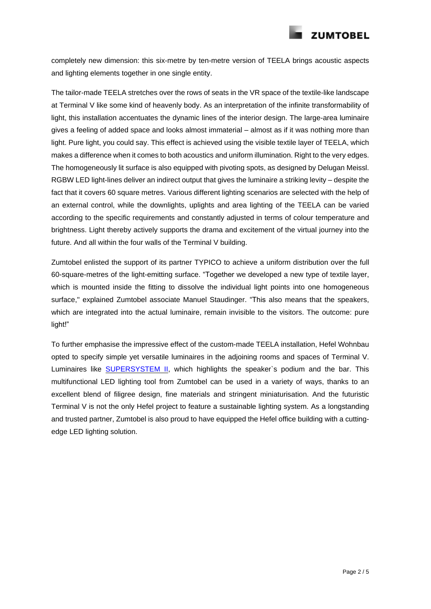

completely new dimension: this six-metre by ten-metre version of TEELA brings acoustic aspects and lighting elements together in one single entity.

The tailor-made TEELA stretches over the rows of seats in the VR space of the textile-like landscape at Terminal V like some kind of heavenly body. As an interpretation of the infinite transformability of light, this installation accentuates the dynamic lines of the interior design. The large-area luminaire gives a feeling of added space and looks almost immaterial – almost as if it was nothing more than light. Pure light, you could say. This effect is achieved using the visible textile layer of TEELA, which makes a difference when it comes to both acoustics and uniform illumination. Right to the very edges. The homogeneously lit surface is also equipped with pivoting spots, as designed by Delugan Meissl. RGBW LED light-lines deliver an indirect output that gives the luminaire a striking levity – despite the fact that it covers 60 square metres. Various different lighting scenarios are selected with the help of an external control, while the downlights, uplights and area lighting of the TEELA can be varied according to the specific requirements and constantly adjusted in terms of colour temperature and brightness. Light thereby actively supports the drama and excitement of the virtual journey into the future. And all within the four walls of the Terminal V building.

Zumtobel enlisted the support of its partner TYPICO to achieve a uniform distribution over the full 60-square-metres of the light-emitting surface. "Together we developed a new type of textile layer, which is mounted inside the fitting to dissolve the individual light points into one homogeneous surface," explained Zumtobel associate Manuel Staudinger. "This also means that the speakers, which are integrated into the actual luminaire, remain invisible to the visitors. The outcome: pure light!"

To further emphasise the impressive effect of the custom-made TEELA installation, Hefel Wohnbau opted to specify simple yet versatile luminaires in the adjoining rooms and spaces of Terminal V. Luminaires like [SUPERSYSTEM](https://www.zumtobel.com/com-en/products/supersystem_II.html) II, which highlights the speaker`s podium and the bar. This multifunctional LED lighting tool from Zumtobel can be used in a variety of ways, thanks to an excellent blend of filigree design, fine materials and stringent miniaturisation. And the futuristic Terminal V is not the only Hefel project to feature a sustainable lighting system. As a longstanding and trusted partner, Zumtobel is also proud to have equipped the Hefel office building with a cuttingedge LED lighting solution.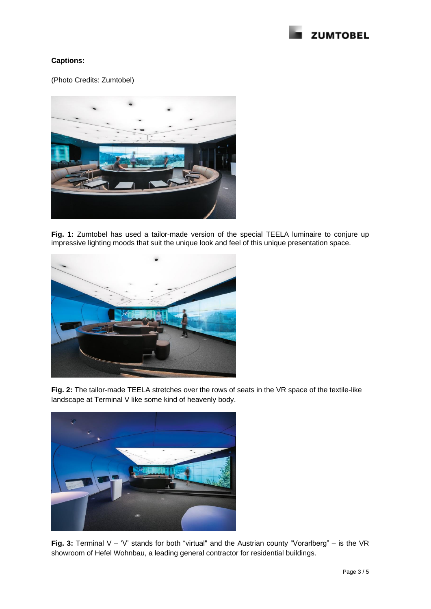

## **Captions:**

(Photo Credits: Zumtobel)



**Fig. 1:** Zumtobel has used a tailor-made version of the special [TEELA](https://editions.zumtobel.com/produkt/teela/) luminaire to conjure up impressive lighting moods that suit the unique look and feel of this unique presentation space.



**Fig. 2:** The tailor-made TEELA stretches over the rows of seats in the VR space of the textile-like landscape at Terminal V like some kind of heavenly body.



**Fig. 3:** Terminal V – 'V' stands for both "virtual" and the Austrian county "Vorarlberg" – is the VR showroom of Hefel Wohnbau, a leading general contractor for residential buildings.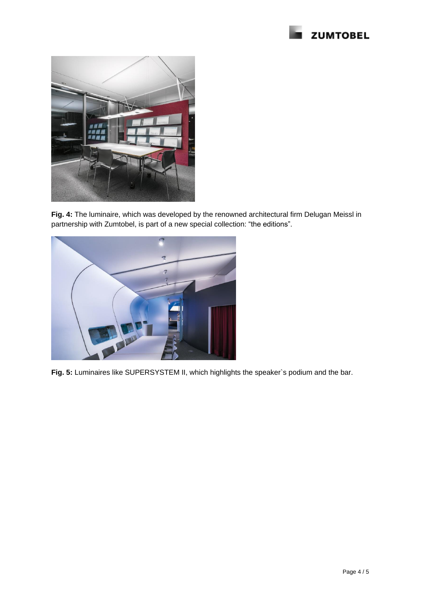



**Fig. 4:** The luminaire, which was developed by the renowned architectural firm Delugan Meissl in partnership with Zumtobel, is part of a new special collection: "the editions".



**Fig. 5:** Luminaires like SUPERSYSTEM II, which highlights the speaker`s podium and the bar.